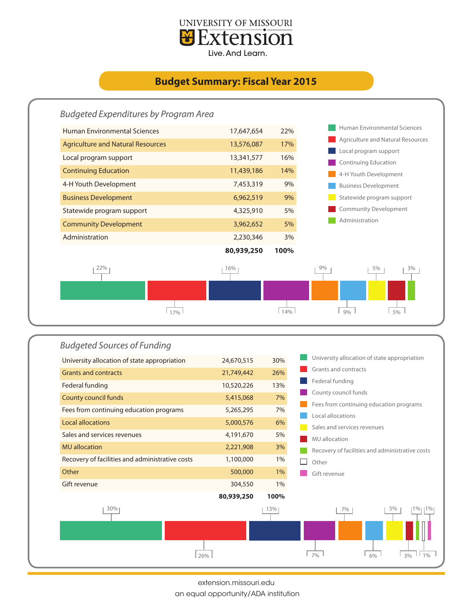

## **Budget Summary: Fiscal Year 2015**





extension.missouri.edu

an equal opportunity/ADA institution